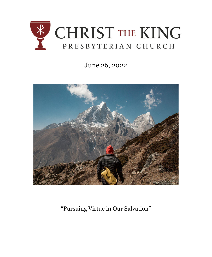

# June 26, 2022



"Pursuing Virtue in Our Salvation"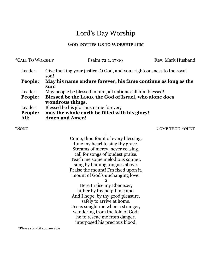# Lord's Day Worship

# **GOD INVITES US TO WORSHIP HIM**

| *CALL TO WORSHIP |                                                                                | Psalm 72:1, 17-19                                      | Rev. Mark Husband |
|------------------|--------------------------------------------------------------------------------|--------------------------------------------------------|-------------------|
| Leader:          | Give the king your justice, O God, and your righteousness to the royal<br>son! |                                                        |                   |
| People:          | May his name endure forever, his fame continue as long as the<br>sun!          |                                                        |                   |
| Leader:          | May people be blessed in him, all nations call him blessed!                    |                                                        |                   |
| People:          | wondrous things.                                                               | Blessed be the LORD, the God of Israel, who alone does |                   |
| Leader:          | Blessed be his glorious name forever;                                          |                                                        |                   |
| People:<br>All:  | <b>Amen and Amen!</b>                                                          | may the whole earth be filled with his glory!          |                   |
|                  |                                                                                |                                                        |                   |

\*SONG COME THOU FOUNT

1

Come, thou fount of every blessing, tune my heart to sing thy grace. Streams of mercy, never ceasing, call for songs of loudest praise. Teach me some melodious sonnet, sung by flaming tongues above. Praise the mount! I'm fixed upon it, mount of God's unchanging love.

 $\Omega$ 

Here I raise my Ebenezer; hither by thy help I'm come. And I hope, by thy good pleasure, safely to arrive at home. Jesus sought me when a stranger, wandering from the fold of God; he to rescue me from danger, interposed his precious blood.

\*Please stand if you are able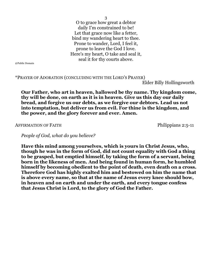3

O to grace how great a debtor daily I'm constrained to be! Let that grace now like a fetter, bind my wandering heart to thee. Prone to wander, Lord, I feel it, prone to leave the God I love. Here's my heart, O take and seal it, seal it for thy courts above.

@Public Domain

### \*PRAYER OF ADORATION (CONCLUDING WITH THE LORD'S PRAYER)

Elder Billy Hollingsworth

**Our Father, who art in heaven, hallowed be thy name. Thy kingdom come, thy will be done, on earth as it is in heaven. Give us this day our daily bread, and forgive us our debts, as we forgive our debtors. Lead us not into temptation, but deliver us from evil. For thine is the kingdom, and the power, and the glory forever and ever. Amen.**

AFFIRMATION OF FAITH Philippians 2:5-11

*People of God, what do you believe?*

**Have this mind among yourselves, which is yours in Christ Jesus, who, though he was in the form of God, did not count equality with God a thing to be grasped, but emptied himself, by taking the form of a servant, being born in the likeness of men. And being found in human form, he humbled himself by becoming obedient to the point of death, even death on a cross. Therefore God has highly exalted him and bestowed on him the name that is above every name, so that at the name of Jesus every knee should bow, in heaven and on earth and under the earth, and every tongue confess that Jesus Christ is Lord, to the glory of God the Father.**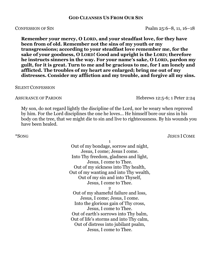# **GOD CLEANSES US FROM OUR SIN**

**Remember your mercy, O LORD, and your steadfast love, for they have been from of old. Remember not the sins of my youth or my transgressions; according to your steadfast love remember me, for the sake of your goodness, O LORD! Good and upright is the LORD; therefore he instructs sinners in the way. For your name's sake, O LORD, pardon my guilt, for it is great. Turn to me and be gracious to me, for I am lonely and afflicted. The troubles of my heart are enlarged; bring me out of my distresses. Consider my affliction and my trouble, and forgive all my sins.**

#### SILENT CONFESSION

My son, do not regard lightly the discipline of the Lord, nor be weary when reproved by him. For the Lord disciplines the one he loves... He himself bore our sins in his body on the tree, that we might die to sin and live to righteousness. By his wounds you have been healed.

1

Out of my bondage, sorrow and night, Jesus, I come; Jesus I come. Into Thy freedom, gladness and light, Jesus, I come to Thee. Out of my sickness into Thy health, Out of my wanting and into Thy wealth, Out of my sin and into Thyself, Jesus, I come to Thee. 2 Out of my shameful failure and loss, Jesus, I come; Jesus, I come. Into the glorious gain of Thy cross, Jesus, I come to Thee.

Out of earth's sorrows into Thy balm, Out of life's storms and into Thy calm, Out of distress into jubilant psalm, Jesus, I come to Thee.

\*SONG JESUS I COME

CONFESSION OF SIN Psalm 25:6–8, 11, 16–18

ASSURANCE OF PARDON Hebrews 12:5-6: 1 Peter 2:24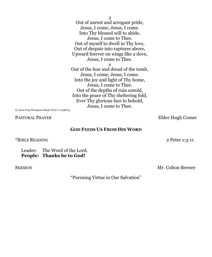Out of unrest and arrogant pride, Jesus, I come; Jesus, I come. Into Thy blessed will to abide, Jesus, I come to Thee. Out of myself to dwell in Thy love, Out of despair into raptures above, Upward forever on wings like a dove, Jesus, I come to Thee. 4 Out of the fear and dread of the tomb, Jesus, I come; Jesus, I come. Into the joy and light of Thy home, Jesus, I come to Thee. Out of the depths of ruin untold, Into the peace of Thy sheltering fold, Ever Thy glorious face to behold, Jesus, I come to Thee.

© 2000 Greg Thompson Music CCLI # 11058703

## **GOD FEEDS US FROM HIS WORD**

\*BIBLE READING 2 Peter 1:3-11

Leader: The Word of the Lord. **People: Thanks be to God!**

SERMON Mr. Colton Brewer

PASTORAL PRAYER Elder Hugh Comer

"Pursuing Virtue in Our Salvation"

3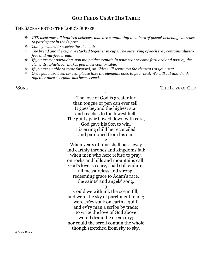# **GOD FEEDS US AT HIS TABLE**

### THE SACRAMENT OF THE LORD'S SUPPER

- *CTK welcomes all baptized believers who are communing members of gospel-believing churches to participate in the Supper.*
- *Come forward to receive the elements.*
- *The bread and the cup are stacked together in cups. The outer ring of each tray contains glutenfree and nut-free bread.*
- *If you are not partaking, you may either remain in your seat or come forward and pass by the elements, whichever makes you most comfortable.*
- *If you are unable to come forward, an Elder will serve you the elements at your seat.*
- *Once you have been served, please take the elements back to your seat. We will eat and drink together once everyone has been served.*

1

The love of God is greater far than tongue or pen can ever tell. It goes beyond the highest star and reaches to the lowest hell. The guilty pair bowed down with care, God gave his Son to win. His erring child he reconciled, and pardoned from his sin.

2

When years of time shall pass away and earthly thrones and kingdoms fall; when men who here refuse to pray, on rocks and hills and mountains call; God's love, so sure, shall still endure, all measureless and strong; redeeming grace to Adam's race, the saints' and angels' song.

3

Could we with ink the ocean fill, and were the sky of parchment made; were ev'ry stalk on earth a quill, and ev'ry man a scribe by trade; to write the love of God above would drain the ocean dry; nor could the scroll contain the whole though stretched from sky to sky.

@Public Domain

# \*SONG THE LOVE OF GOD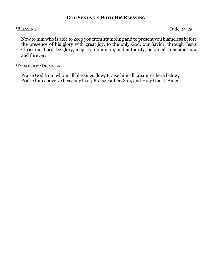# **GOD SENDS US WITH HIS BLESSING**

\*BLESSING Jude 24-25

Now to him who is able to keep you from stumbling and to present you blameless before the presence of his glory with great joy, to the only God, our Savior, through Jesus Christ our Lord, be glory, majesty, dominion, and authority, before all time and now and forever.

\*DOXOLOGY/DISMISSAL

Praise God from whom all blessings flow; Praise him all creatures here below; Praise him above ye heavenly host; Praise Father, Son, and Holy Ghost. Amen.